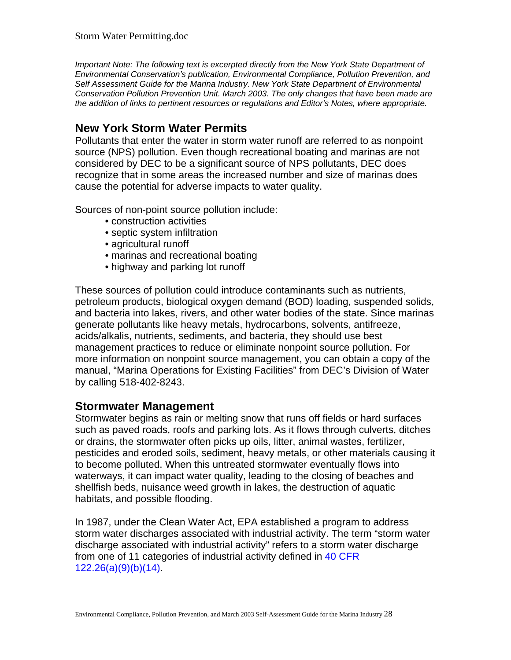*Important Note: The following text is excerpted directly from the New York State Department of Environmental Conservation's publication, Environmental Compliance, Pollution Prevention, and Self Assessment Guide for the Marina Industry. New York State Department of Environmental Conservation Pollution Prevention Unit. March 2003. The only changes that have been made are the addition of links to pertinent resources or regulations and Editor's Notes, where appropriate.* 

## **New York Storm Water Permits**

Pollutants that enter the water in storm water runoff are referred to as nonpoint source (NPS) pollution. Even though recreational boating and marinas are not considered by DEC to be a significant source of NPS pollutants, DEC does recognize that in some areas the increased number and size of marinas does cause the potential for adverse impacts to water quality.

Sources of non-point source pollution include:

- construction activities
- septic system infiltration
- agricultural runoff
- marinas and recreational boating
- highway and parking lot runoff

These sources of pollution could introduce contaminants such as nutrients, petroleum products, biological oxygen demand (BOD) loading, suspended solids, and bacteria into lakes, rivers, and other water bodies of the state. Since marinas generate pollutants like heavy metals, hydrocarbons, solvents, antifreeze, acids/alkalis, nutrients, sediments, and bacteria, they should use best management practices to reduce or eliminate nonpoint source pollution. For more information on nonpoint source management, you can obtain a copy of the manual, "Marina Operations for Existing Facilities" from DEC's Division of Water by calling 518-402-8243.

## **Stormwater Management**

Stormwater begins as rain or melting snow that runs off fields or hard surfaces such as paved roads, roofs and parking lots. As it flows through culverts, ditches or drains, the stormwater often picks up oils, litter, animal wastes, fertilizer, pesticides and eroded soils, sediment, heavy metals, or other materials causing it to become polluted. When this untreated stormwater eventually flows into waterways, it can impact water quality, leading to the closing of beaches and shellfish beds, nuisance weed growth in lakes, the destruction of aquatic habitats, and possible flooding.

In 1987, under the Clean Water Act, EPA established a program to address storm water discharges associated with industrial activity. The term "storm water discharge associated with industrial activity" refers to a storm water discharge from one of 11 categories of industrial activity defined in 40 CFR 122.26(a)(9)(b)(14).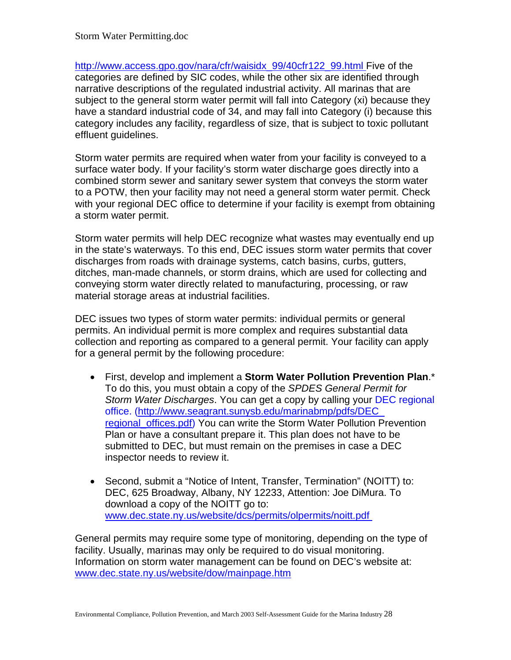http://www.access.gpo.gov/nara/cfr/waisidx\_99/40cfr122\_99.html Five of the categories are defined by SIC codes, while the other six are identified through narrative descriptions of the regulated industrial activity. All marinas that are subject to the general storm water permit will fall into Category (xi) because they have a standard industrial code of 34, and may fall into Category (i) because this category includes any facility, regardless of size, that is subject to toxic pollutant effluent guidelines.

Storm water permits are required when water from your facility is conveyed to a surface water body. If your facility's storm water discharge goes directly into a combined storm sewer and sanitary sewer system that conveys the storm water to a POTW, then your facility may not need a general storm water permit. Check with your regional DEC office to determine if your facility is exempt from obtaining a storm water permit.

Storm water permits will help DEC recognize what wastes may eventually end up in the state's waterways. To this end, DEC issues storm water permits that cover discharges from roads with drainage systems, catch basins, curbs, gutters, ditches, man-made channels, or storm drains, which are used for collecting and conveying storm water directly related to manufacturing, processing, or raw material storage areas at industrial facilities.

DEC issues two types of storm water permits: individual permits or general permits. An individual permit is more complex and requires substantial data collection and reporting as compared to a general permit. Your facility can apply for a general permit by the following procedure:

- First, develop and implement a **Storm Water Pollution Prevention Plan**.\* To do this, you must obtain a copy of the *SPDES General Permit for Storm Water Discharges*. You can get a copy by calling your DEC regional office. (http://www.seagrant.sunysb.edu/marinabmp/pdfs/DEC\_ regional offices.pdf) You can write the Storm Water Pollution Prevention Plan or have a consultant prepare it. This plan does not have to be submitted to DEC, but must remain on the premises in case a DEC inspector needs to review it.
- Second, submit a "Notice of Intent, Transfer, Termination" (NOITT) to: DEC, 625 Broadway, Albany, NY 12233, Attention: Joe DiMura. To download a copy of the NOITT go to: www.dec.state.ny.us/website/dcs/permits/olpermits/noitt.pdf

General permits may require some type of monitoring, depending on the type of facility. Usually, marinas may only be required to do visual monitoring. Information on storm water management can be found on DEC's website at: www.dec.state.ny.us/website/dow/mainpage.htm